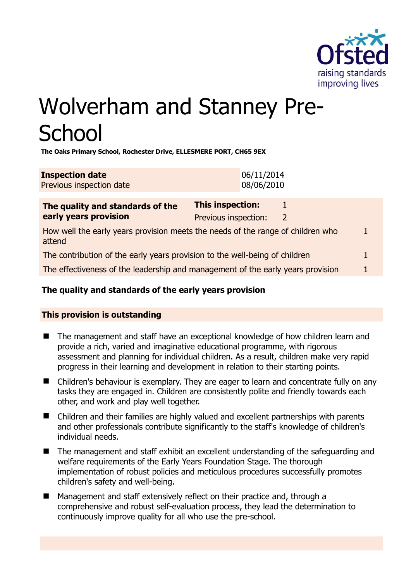

# Wolverham and Stanney Pre-**School**

**The Oaks Primary School, Rochester Drive, ELLESMERE PORT, CH65 9EX** 

| <b>Inspection date</b>   | 06/11/2014 |
|--------------------------|------------|
| Previous inspection date | 08/06/2010 |

| The quality and standards of the                                                          | This inspection:     |   |  |
|-------------------------------------------------------------------------------------------|----------------------|---|--|
| early years provision                                                                     | Previous inspection: | 2 |  |
| How well the early years provision meets the needs of the range of children who<br>attend |                      |   |  |
| The contribution of the early years provision to the well-being of children               |                      |   |  |
| The effectiveness of the leadership and management of the early years provision           |                      |   |  |
|                                                                                           |                      |   |  |

# **The quality and standards of the early years provision**

# **This provision is outstanding**

- The management and staff have an exceptional knowledge of how children learn and provide a rich, varied and imaginative educational programme, with rigorous assessment and planning for individual children. As a result, children make very rapid progress in their learning and development in relation to their starting points.
- Children's behaviour is exemplary. They are eager to learn and concentrate fully on any tasks they are engaged in. Children are consistently polite and friendly towards each other, and work and play well together.
- Children and their families are highly valued and excellent partnerships with parents and other professionals contribute significantly to the staff's knowledge of children's individual needs.
- The management and staff exhibit an excellent understanding of the safeguarding and welfare requirements of the Early Years Foundation Stage. The thorough implementation of robust policies and meticulous procedures successfully promotes children's safety and well-being.
- Management and staff extensively reflect on their practice and, through a comprehensive and robust self-evaluation process, they lead the determination to continuously improve quality for all who use the pre-school.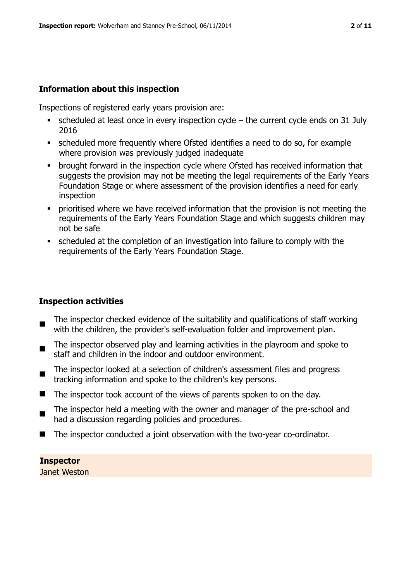# **Information about this inspection**

Inspections of registered early years provision are:

- scheduled at least once in every inspection cycle the current cycle ends on 31 July 2016
- scheduled more frequently where Ofsted identifies a need to do so, for example where provision was previously judged inadequate
- brought forward in the inspection cycle where Ofsted has received information that suggests the provision may not be meeting the legal requirements of the Early Years Foundation Stage or where assessment of the provision identifies a need for early inspection
- **•** prioritised where we have received information that the provision is not meeting the requirements of the Early Years Foundation Stage and which suggests children may not be safe
- scheduled at the completion of an investigation into failure to comply with the requirements of the Early Years Foundation Stage.

## **Inspection activities**

- $\blacksquare$ The inspector checked evidence of the suitability and qualifications of staff working with the children, the provider's self-evaluation folder and improvement plan.
- The inspector observed play and learning activities in the playroom and spoke to staff and children in the indoor and outdoor environment.
- The inspector looked at a selection of children's assessment files and progress tracking information and spoke to the children's key persons.
- $\blacksquare$  The inspector took account of the views of parents spoken to on the day.
- The inspector held a meeting with the owner and manager of the pre-school and had a discussion regarding policies and procedures.
- The inspector conducted a joint observation with the two-year co-ordinator.

## **Inspector**

Janet Weston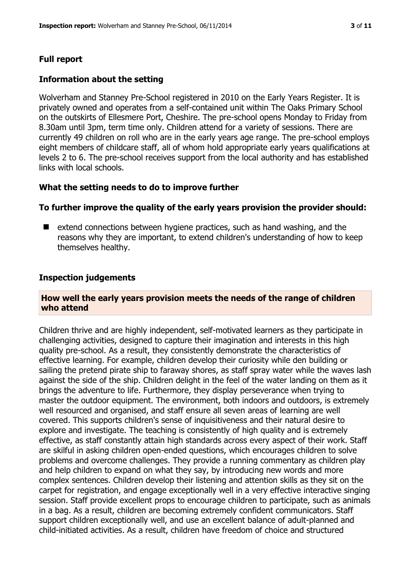#### **Full report**

#### **Information about the setting**

Wolverham and Stanney Pre-School registered in 2010 on the Early Years Register. It is privately owned and operates from a self-contained unit within The Oaks Primary School on the outskirts of Ellesmere Port, Cheshire. The pre-school opens Monday to Friday from 8.30am until 3pm, term time only. Children attend for a variety of sessions. There are currently 49 children on roll who are in the early years age range. The pre-school employs eight members of childcare staff, all of whom hold appropriate early years qualifications at levels 2 to 6. The pre-school receives support from the local authority and has established links with local schools.

#### **What the setting needs to do to improve further**

#### **To further improve the quality of the early years provision the provider should:**

■ extend connections between hygiene practices, such as hand washing, and the reasons why they are important, to extend children's understanding of how to keep themselves healthy.

#### **Inspection judgements**

#### **How well the early years provision meets the needs of the range of children who attend**

Children thrive and are highly independent, self-motivated learners as they participate in challenging activities, designed to capture their imagination and interests in this high quality pre-school. As a result, they consistently demonstrate the characteristics of effective learning. For example, children develop their curiosity while den building or sailing the pretend pirate ship to faraway shores, as staff spray water while the waves lash against the side of the ship. Children delight in the feel of the water landing on them as it brings the adventure to life. Furthermore, they display perseverance when trying to master the outdoor equipment. The environment, both indoors and outdoors, is extremely well resourced and organised, and staff ensure all seven areas of learning are well covered. This supports children's sense of inquisitiveness and their natural desire to explore and investigate. The teaching is consistently of high quality and is extremely effective, as staff constantly attain high standards across every aspect of their work. Staff are skilful in asking children open-ended questions, which encourages children to solve problems and overcome challenges. They provide a running commentary as children play and help children to expand on what they say, by introducing new words and more complex sentences. Children develop their listening and attention skills as they sit on the carpet for registration, and engage exceptionally well in a very effective interactive singing session. Staff provide excellent props to encourage children to participate, such as animals in a bag. As a result, children are becoming extremely confident communicators. Staff support children exceptionally well, and use an excellent balance of adult-planned and child-initiated activities. As a result, children have freedom of choice and structured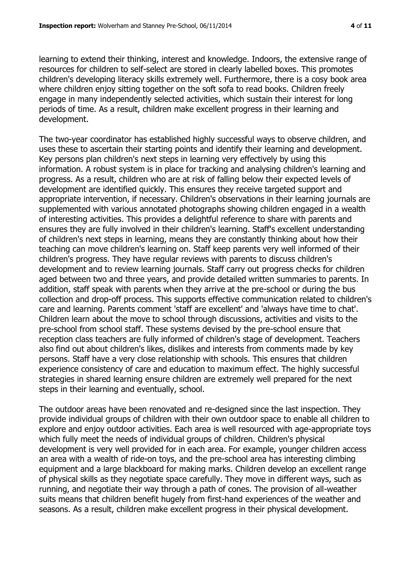learning to extend their thinking, interest and knowledge. Indoors, the extensive range of resources for children to self-select are stored in clearly labelled boxes. This promotes children's developing literacy skills extremely well. Furthermore, there is a cosy book area where children enjoy sitting together on the soft sofa to read books. Children freely engage in many independently selected activities, which sustain their interest for long periods of time. As a result, children make excellent progress in their learning and development.

The two-year coordinator has established highly successful ways to observe children, and uses these to ascertain their starting points and identify their learning and development. Key persons plan children's next steps in learning very effectively by using this information. A robust system is in place for tracking and analysing children's learning and progress. As a result, children who are at risk of falling below their expected levels of development are identified quickly. This ensures they receive targeted support and appropriate intervention, if necessary. Children's observations in their learning journals are supplemented with various annotated photographs showing children engaged in a wealth of interesting activities. This provides a delightful reference to share with parents and ensures they are fully involved in their children's learning. Staff's excellent understanding of children's next steps in learning, means they are constantly thinking about how their teaching can move children's learning on. Staff keep parents very well informed of their children's progress. They have regular reviews with parents to discuss children's development and to review learning journals. Staff carry out progress checks for children aged between two and three years, and provide detailed written summaries to parents. In addition, staff speak with parents when they arrive at the pre-school or during the bus collection and drop-off process. This supports effective communication related to children's care and learning. Parents comment 'staff are excellent' and 'always have time to chat'. Children learn about the move to school through discussions, activities and visits to the pre-school from school staff. These systems devised by the pre-school ensure that reception class teachers are fully informed of children's stage of development. Teachers also find out about children's likes, dislikes and interests from comments made by key persons. Staff have a very close relationship with schools. This ensures that children experience consistency of care and education to maximum effect. The highly successful strategies in shared learning ensure children are extremely well prepared for the next steps in their learning and eventually, school.

The outdoor areas have been renovated and re-designed since the last inspection. They provide individual groups of children with their own outdoor space to enable all children to explore and enjoy outdoor activities. Each area is well resourced with age-appropriate toys which fully meet the needs of individual groups of children. Children's physical development is very well provided for in each area. For example, younger children access an area with a wealth of ride-on toys, and the pre-school area has interesting climbing equipment and a large blackboard for making marks. Children develop an excellent range of physical skills as they negotiate space carefully. They move in different ways, such as running, and negotiate their way through a path of cones. The provision of all-weather suits means that children benefit hugely from first-hand experiences of the weather and seasons. As a result, children make excellent progress in their physical development.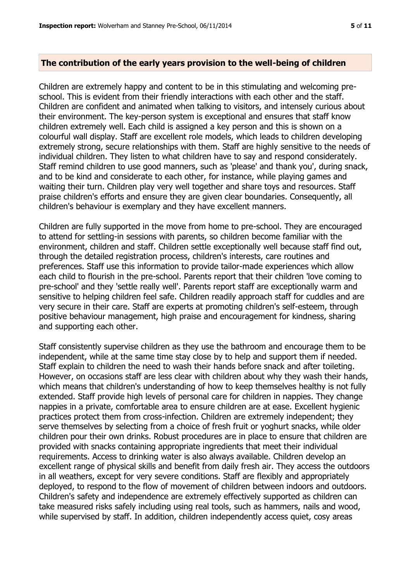#### **The contribution of the early years provision to the well-being of children**

Children are extremely happy and content to be in this stimulating and welcoming preschool. This is evident from their friendly interactions with each other and the staff. Children are confident and animated when talking to visitors, and intensely curious about their environment. The key-person system is exceptional and ensures that staff know children extremely well. Each child is assigned a key person and this is shown on a colourful wall display. Staff are excellent role models, which leads to children developing extremely strong, secure relationships with them. Staff are highly sensitive to the needs of individual children. They listen to what children have to say and respond considerately. Staff remind children to use good manners, such as 'please' and thank you', during snack, and to be kind and considerate to each other, for instance, while playing games and waiting their turn. Children play very well together and share toys and resources. Staff praise children's efforts and ensure they are given clear boundaries. Consequently, all children's behaviour is exemplary and they have excellent manners.

Children are fully supported in the move from home to pre-school. They are encouraged to attend for settling-in sessions with parents, so children become familiar with the environment, children and staff. Children settle exceptionally well because staff find out, through the detailed registration process, children's interests, care routines and preferences. Staff use this information to provide tailor-made experiences which allow each child to flourish in the pre-school. Parents report that their children 'love coming to pre-school' and they 'settle really well'. Parents report staff are exceptionally warm and sensitive to helping children feel safe. Children readily approach staff for cuddles and are very secure in their care. Staff are experts at promoting children's self-esteem, through positive behaviour management, high praise and encouragement for kindness, sharing and supporting each other.

Staff consistently supervise children as they use the bathroom and encourage them to be independent, while at the same time stay close by to help and support them if needed. Staff explain to children the need to wash their hands before snack and after toileting. However, on occasions staff are less clear with children about why they wash their hands, which means that children's understanding of how to keep themselves healthy is not fully extended. Staff provide high levels of personal care for children in nappies. They change nappies in a private, comfortable area to ensure children are at ease. Excellent hygienic practices protect them from cross-infection. Children are extremely independent; they serve themselves by selecting from a choice of fresh fruit or yoghurt snacks, while older children pour their own drinks. Robust procedures are in place to ensure that children are provided with snacks containing appropriate ingredients that meet their individual requirements. Access to drinking water is also always available. Children develop an excellent range of physical skills and benefit from daily fresh air. They access the outdoors in all weathers, except for very severe conditions. Staff are flexibly and appropriately deployed, to respond to the flow of movement of children between indoors and outdoors. Children's safety and independence are extremely effectively supported as children can take measured risks safely including using real tools, such as hammers, nails and wood, while supervised by staff. In addition, children independently access quiet, cosy areas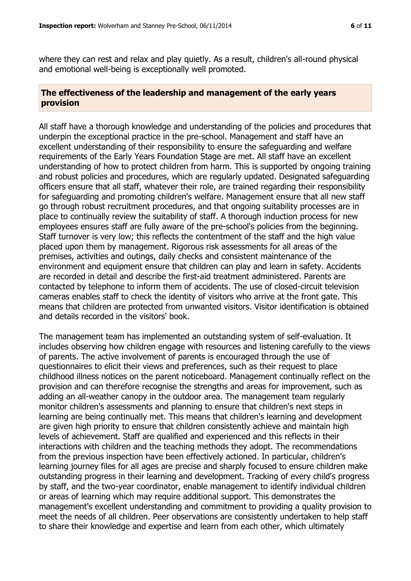where they can rest and relax and play quietly. As a result, children's all-round physical and emotional well-being is exceptionally well promoted.

# **The effectiveness of the leadership and management of the early years provision**

All staff have a thorough knowledge and understanding of the policies and procedures that underpin the exceptional practice in the pre-school. Management and staff have an excellent understanding of their responsibility to ensure the safeguarding and welfare requirements of the Early Years Foundation Stage are met. All staff have an excellent understanding of how to protect children from harm. This is supported by ongoing training and robust policies and procedures, which are regularly updated. Designated safeguarding officers ensure that all staff, whatever their role, are trained regarding their responsibility for safeguarding and promoting children's welfare. Management ensure that all new staff go through robust recruitment procedures, and that ongoing suitability processes are in place to continually review the suitability of staff. A thorough induction process for new employees ensures staff are fully aware of the pre-school's policies from the beginning. Staff turnover is very low; this reflects the contentment of the staff and the high value placed upon them by management. Rigorous risk assessments for all areas of the premises, activities and outings, daily checks and consistent maintenance of the environment and equipment ensure that children can play and learn in safety. Accidents are recorded in detail and describe the first-aid treatment administered. Parents are contacted by telephone to inform them of accidents. The use of closed-circuit television cameras enables staff to check the identity of visitors who arrive at the front gate. This means that children are protected from unwanted visitors. Visitor identification is obtained and details recorded in the visitors' book.

The management team has implemented an outstanding system of self-evaluation. It includes observing how children engage with resources and listening carefully to the views of parents. The active involvement of parents is encouraged through the use of questionnaires to elicit their views and preferences, such as their request to place childhood illness notices on the parent noticeboard. Management continually reflect on the provision and can therefore recognise the strengths and areas for improvement, such as adding an all-weather canopy in the outdoor area. The management team regularly monitor children's assessments and planning to ensure that children's next steps in learning are being continually met. This means that children's learning and development are given high priority to ensure that children consistently achieve and maintain high levels of achievement. Staff are qualified and experienced and this reflects in their interactions with children and the teaching methods they adopt. The recommendations from the previous inspection have been effectively actioned. In particular, children's learning journey files for all ages are precise and sharply focused to ensure children make outstanding progress in their learning and development. Tracking of every child's progress by staff, and the two-year coordinator, enable management to identify individual children or areas of learning which may require additional support. This demonstrates the management's excellent understanding and commitment to providing a quality provision to meet the needs of all children. Peer observations are consistently undertaken to help staff to share their knowledge and expertise and learn from each other, which ultimately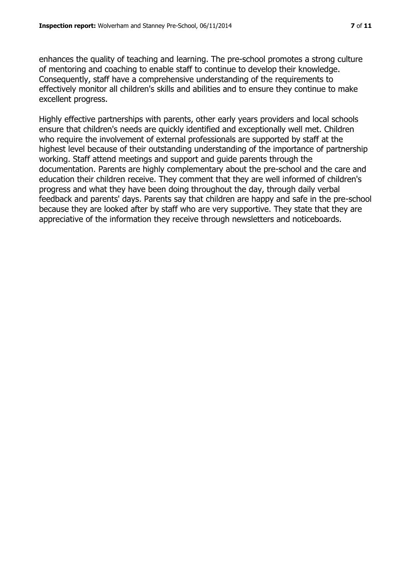enhances the quality of teaching and learning. The pre-school promotes a strong culture of mentoring and coaching to enable staff to continue to develop their knowledge. Consequently, staff have a comprehensive understanding of the requirements to effectively monitor all children's skills and abilities and to ensure they continue to make excellent progress.

Highly effective partnerships with parents, other early years providers and local schools ensure that children's needs are quickly identified and exceptionally well met. Children who require the involvement of external professionals are supported by staff at the highest level because of their outstanding understanding of the importance of partnership working. Staff attend meetings and support and guide parents through the documentation. Parents are highly complementary about the pre-school and the care and education their children receive. They comment that they are well informed of children's progress and what they have been doing throughout the day, through daily verbal feedback and parents' days. Parents say that children are happy and safe in the pre-school because they are looked after by staff who are very supportive. They state that they are appreciative of the information they receive through newsletters and noticeboards.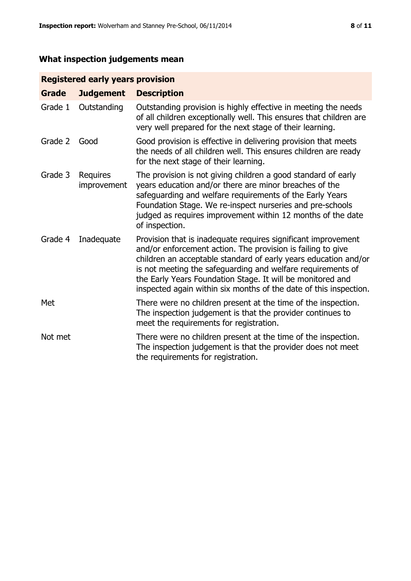# **What inspection judgements mean**

# **Registered early years provision**

| <b>Grade</b> | <b>Judgement</b>        | <b>Description</b>                                                                                                                                                                                                                                                                                                                                                                                |
|--------------|-------------------------|---------------------------------------------------------------------------------------------------------------------------------------------------------------------------------------------------------------------------------------------------------------------------------------------------------------------------------------------------------------------------------------------------|
| Grade 1      | Outstanding             | Outstanding provision is highly effective in meeting the needs<br>of all children exceptionally well. This ensures that children are<br>very well prepared for the next stage of their learning.                                                                                                                                                                                                  |
| Grade 2      | Good                    | Good provision is effective in delivering provision that meets<br>the needs of all children well. This ensures children are ready<br>for the next stage of their learning.                                                                                                                                                                                                                        |
| Grade 3      | Requires<br>improvement | The provision is not giving children a good standard of early<br>years education and/or there are minor breaches of the<br>safeguarding and welfare requirements of the Early Years<br>Foundation Stage. We re-inspect nurseries and pre-schools<br>judged as requires improvement within 12 months of the date<br>of inspection.                                                                 |
| Grade 4      | Inadequate              | Provision that is inadequate requires significant improvement<br>and/or enforcement action. The provision is failing to give<br>children an acceptable standard of early years education and/or<br>is not meeting the safeguarding and welfare requirements of<br>the Early Years Foundation Stage. It will be monitored and<br>inspected again within six months of the date of this inspection. |
| Met          |                         | There were no children present at the time of the inspection.<br>The inspection judgement is that the provider continues to<br>meet the requirements for registration.                                                                                                                                                                                                                            |
| Not met      |                         | There were no children present at the time of the inspection.<br>The inspection judgement is that the provider does not meet<br>the requirements for registration.                                                                                                                                                                                                                                |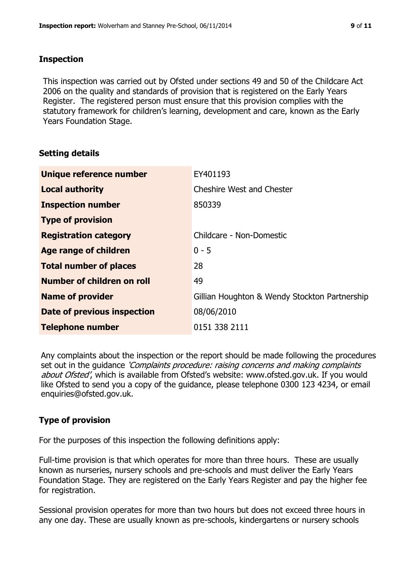# **Inspection**

This inspection was carried out by Ofsted under sections 49 and 50 of the Childcare Act 2006 on the quality and standards of provision that is registered on the Early Years Register. The registered person must ensure that this provision complies with the statutory framework for children's learning, development and care, known as the Early Years Foundation Stage.

# **Setting details**

| Unique reference number       | EY401193                                      |
|-------------------------------|-----------------------------------------------|
| <b>Local authority</b>        | <b>Cheshire West and Chester</b>              |
| <b>Inspection number</b>      | 850339                                        |
| <b>Type of provision</b>      |                                               |
| <b>Registration category</b>  | Childcare - Non-Domestic                      |
| Age range of children         | $0 - 5$                                       |
| <b>Total number of places</b> | 28                                            |
| Number of children on roll    | 49                                            |
| <b>Name of provider</b>       | Gillian Houghton & Wendy Stockton Partnership |
| Date of previous inspection   | 08/06/2010                                    |
| <b>Telephone number</b>       | 0151 338 2111                                 |

Any complaints about the inspection or the report should be made following the procedures set out in the guidance *'Complaints procedure: raising concerns and making complaints* about Ofsted', which is available from Ofsted's website: www.ofsted.gov.uk. If you would like Ofsted to send you a copy of the guidance, please telephone 0300 123 4234, or email enquiries@ofsted.gov.uk.

# **Type of provision**

For the purposes of this inspection the following definitions apply:

Full-time provision is that which operates for more than three hours. These are usually known as nurseries, nursery schools and pre-schools and must deliver the Early Years Foundation Stage. They are registered on the Early Years Register and pay the higher fee for registration.

Sessional provision operates for more than two hours but does not exceed three hours in any one day. These are usually known as pre-schools, kindergartens or nursery schools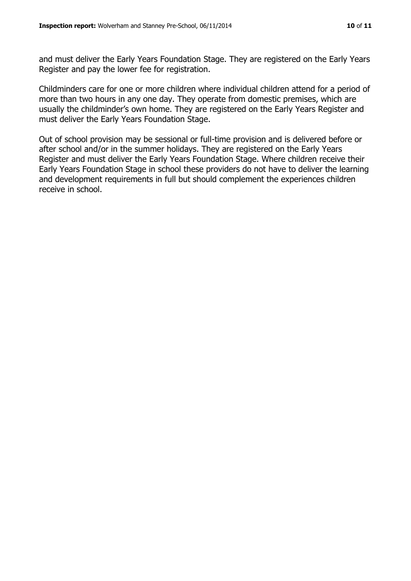Register and pay the lower fee for registration.

and must deliver the Early Years Foundation Stage. They are registered on the Early Years

Childminders care for one or more children where individual children attend for a period of more than two hours in any one day. They operate from domestic premises, which are usually the childminder's own home. They are registered on the Early Years Register and must deliver the Early Years Foundation Stage.

Out of school provision may be sessional or full-time provision and is delivered before or after school and/or in the summer holidays. They are registered on the Early Years Register and must deliver the Early Years Foundation Stage. Where children receive their Early Years Foundation Stage in school these providers do not have to deliver the learning and development requirements in full but should complement the experiences children receive in school.